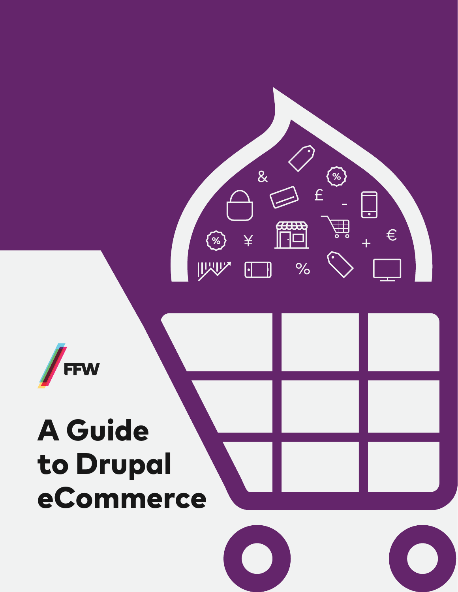

# A Guide to Drupal eCommerce

 $\overline{\alpha}$ 

¥

<u>[1]</u>

 $\odot$ 

哎

 $\circled{2}$ 

铀

 $\overline{\phantom{a}}$ 

 $\in$ 

£

 $\frac{1}{\sqrt{2}}$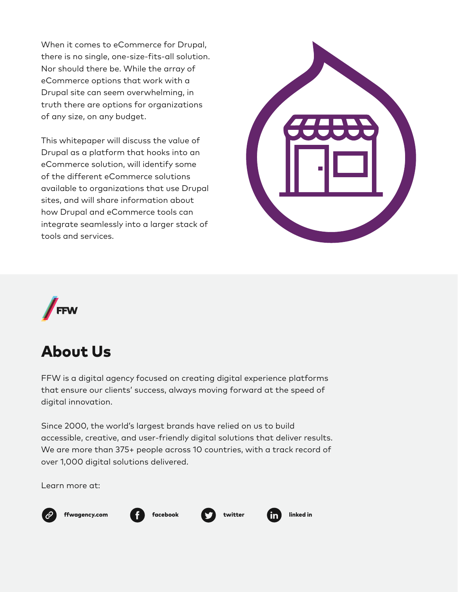When it comes to eCommerce for Drupal, there is no single, one-size-fits-all solution. Nor should there be. While the array of eCommerce options that work with a Drupal site can seem overwhelming, in truth there are options for organizations of any size, on any budget.

This whitepaper will discuss the value of Drupal as a platform that hooks into an eCommerce solution, will identify some of the different eCommerce solutions available to organizations that use Drupal sites, and will share information about how Drupal and eCommerce tools can integrate seamlessly into a larger stack of tools and services.





### About Us

FFW is a digital agency focused on creating digital experience platforms that ensure our clients' success, always moving forward at the speed of digital innovation.

Since 2000, the world's largest brands have relied on us to build accessible, creative, and user-friendly digital solutions that deliver results. We are more than 375+ people across 10 countries, with a track record of over 1,000 digital solutions delivered.

Learn more at:



[ffwagency.com](https://ffwagency.com/) **fig.** [facebook](https://www.facebook.com/FFWagency/) **that is faced in [twitter](https://twitter.com/FFWglobal/) fig.** [linked in](https://www.linkedin.com/company-beta/9442560/)



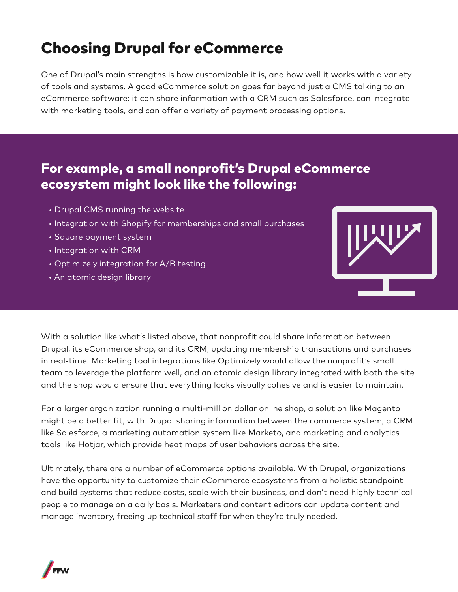# Choosing Drupal for eCommerce

One of Drupal's main strengths is how customizable it is, and how well it works with a variety of tools and systems. A good eCommerce solution goes far beyond just a CMS talking to an eCommerce software: it can share information with a CRM such as Salesforce, can integrate with marketing tools, and can offer a variety of payment processing options.

#### For example, a small nonprofit's Drupal eCommerce ecosystem might look like the following:

- Drupal CMS running the website
- Integration with Shopify for memberships and small purchases
- Square payment system
- Integration with CRM
- Optimizely integration for A/B testing
- An atomic design library



With a solution like what's listed above, that nonprofit could share information between Drupal, its eCommerce shop, and its CRM, updating membership transactions and purchases in real-time. Marketing tool integrations like Optimizely would allow the nonprofit's small team to leverage the platform well, and an atomic design library integrated with both the site and the shop would ensure that everything looks visually cohesive and is easier to maintain.

For a larger organization running a multi-million dollar online shop, a solution like Magento might be a better fit, with Drupal sharing information between the commerce system, a CRM like Salesforce, a marketing automation system like Marketo, and marketing and analytics tools like Hotjar, which provide heat maps of user behaviors across the site.

Ultimately, there are a number of eCommerce options available. With Drupal, organizations have the opportunity to customize their eCommerce ecosystems from a holistic standpoint and build systems that reduce costs, scale with their business, and don't need highly technical people to manage on a daily basis. Marketers and content editors can update content and manage inventory, freeing up technical staff for when they're truly needed.

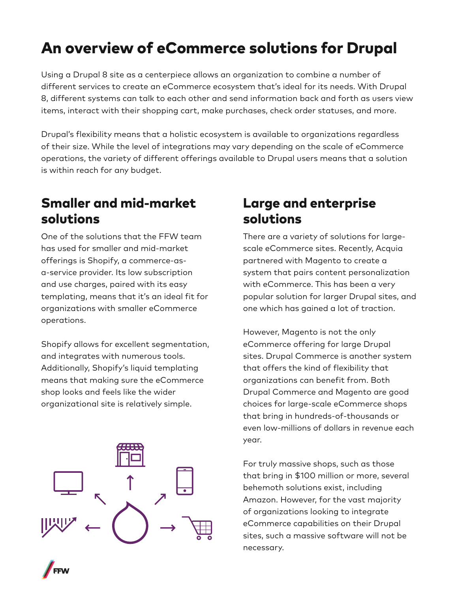# An overview of eCommerce solutions for Drupal

Using a Drupal 8 site as a centerpiece allows an organization to combine a number of different services to create an eCommerce ecosystem that's ideal for its needs. With Drupal 8, different systems can talk to each other and send information back and forth as users view items, interact with their shopping cart, make purchases, check order statuses, and more.

Drupal's flexibility means that a holistic ecosystem is available to organizations regardless of their size. While the level of integrations may vary depending on the scale of eCommerce operations, the variety of different offerings available to Drupal users means that a solution is within reach for any budget.

#### Smaller and mid-market solutions

One of the solutions that the FFW team has used for smaller and mid-market offerings is Shopify, a commerce-asa-service provider. Its low subscription and use charges, paired with its easy templating, means that it's an ideal fit for organizations with smaller eCommerce operations.

Shopify allows for excellent segmentation, and integrates with numerous tools. Additionally, Shopify's liquid templating means that making sure the eCommerce shop looks and feels like the wider organizational site is relatively simple.





There are a variety of solutions for largescale eCommerce sites. Recently, Acquia partnered with Magento to create a system that pairs content personalization with eCommerce. This has been a very popular solution for larger Drupal sites, and one which has gained a lot of traction.

However, Magento is not the only eCommerce offering for large Drupal sites. Drupal Commerce is another system that offers the kind of flexibility that organizations can benefit from. Both Drupal Commerce and Magento are good choices for large-scale eCommerce shops that bring in hundreds-of-thousands or even low-millions of dollars in revenue each year.

For truly massive shops, such as those that bring in \$100 million or more, several behemoth solutions exist, including Amazon. However, for the vast majority of organizations looking to integrate eCommerce capabilities on their Drupal sites, such a massive software will not be necessary.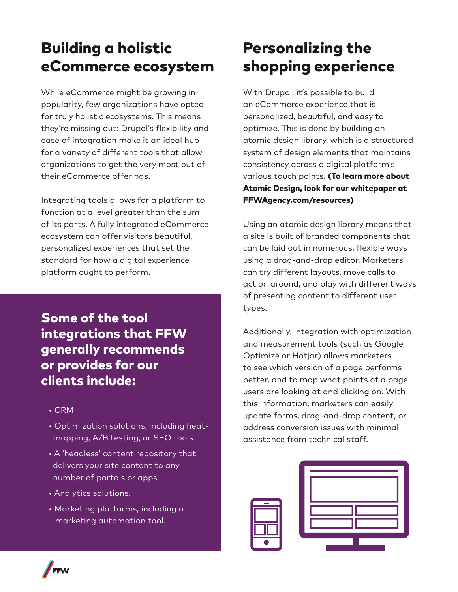# Building a holistic eCommerce ecosystem

While eCommerce might be growing in popularity, few organizations have opted for truly holistic ecosystems. This means they're missing out: Drupal's flexibility and ease of integration make it an ideal hub for a variety of different tools that allow organizations to get the very most out of their eCommerce offerings.

Integrating tools allows for a platform to function at a level greater than the sum of its parts. A fully integrated eCommerce ecosystem can offer visitors beautiful, personalized experiences that set the standard for how a digital experience platform ought to perform.

Some of the tool integrations that FFW generally recommends or provides for our clients include:

- CRM
- Optimization solutions, including heat mapping, A/B testing, or SEO tools.
- A 'headless' content repository that delivers your site content to any number of portals or apps.
- Analytics solutions.
- Marketing platforms, including a marketing automation tool.

## Personalizing the shopping experience

With Drupal, it's possible to build an eCommerce experience that is personalized, beautiful, and easy to optimize. This is done by building an atomic design library, which is a structured system of design elements that maintains consistency across a digital platform's various touch points. (To learn more about Atomic Design, look for our whitepaper at FFWAgency.com/resources)

Using an atomic design library means that a site is built of branded components that can be laid out in numerous, flexible ways using a drag-and-drop editor. Marketers can try different layouts, move calls to action around, and play with different ways of presenting content to different user types.

Additionally, integration with optimization and measurement tools (such as Google Optimize or Hotjar) allows marketers to see which version of a page performs better, and to map what points of a page users are looking at and clicking on. With this information, marketers can easily update forms, drag-and-drop content, or address conversion issues with minimal assistance from technical staff.



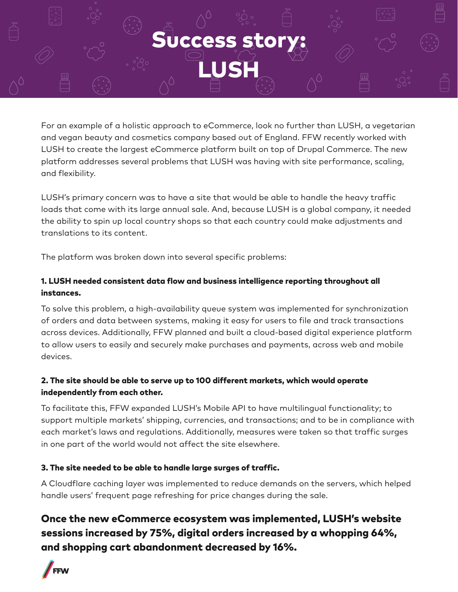# **Success sto**

LUSH

For an example of a holistic approach to eCommerce, look no further than LUSH, a vegetarian and vegan beauty and cosmetics company based out of England. FFW recently worked with LUSH to create the largest eCommerce platform built on top of Drupal Commerce. The new platform addresses several problems that LUSH was having with site performance, scaling, and flexibility.

LUSH's primary concern was to have a site that would be able to handle the heavy traffic loads that come with its large annual sale. And, because LUSH is a global company, it needed the ability to spin up local country shops so that each country could make adjustments and translations to its content.

The platform was broken down into several specific problems:

#### 1. LUSH needed consistent data flow and business intelligence reporting throughout all instances.

To solve this problem, a high-availability queue system was implemented for synchronization of orders and data between systems, making it easy for users to file and track transactions across devices. Additionally, FFW planned and built a cloud-based digital experience platform to allow users to easily and securely make purchases and payments, across web and mobile devices.

#### 2. The site should be able to serve up to 100 different markets, which would operate independently from each other.

To facilitate this, FFW expanded LUSH's Mobile API to have multilingual functionality; to support multiple markets' shipping, currencies, and transactions; and to be in compliance with each market's laws and regulations. Additionally, measures were taken so that traffic surges in one part of the world would not affect the site elsewhere.

#### 3. The site needed to be able to handle large surges of traffic.

A Cloudflare caching layer was implemented to reduce demands on the servers, which helped handle users' frequent page refreshing for price changes during the sale.

#### Once the new eCommerce ecosystem was implemented, LUSH's website sessions increased by 75%, digital orders increased by a whopping 64%, and shopping cart abandonment decreased by 16%.